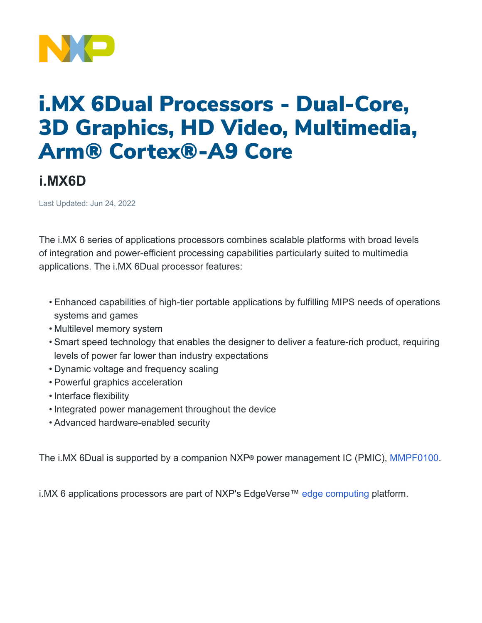

## i.MX 6Dual Processors - Dual-Core, 3D Graphics, HD Video, Multimedia, Arm® Cortex®-A9 Core

## **i.MX6D**

Last Updated: Jun 24, 2022

The i.MX 6 series of applications processors combines scalable platforms with broad levels of integration and power-efficient processing capabilities particularly suited to multimedia applications. The i.MX 6Dual processor features:

- Enhanced capabilities of high-tier portable applications by fulfilling MIPS needs of operations systems and games
- Multilevel memory system
- Smart speed technology that enables the designer to deliver a feature-rich product, requiring levels of power far lower than industry expectations
- Dynamic voltage and frequency scaling
- Powerful graphics acceleration
- Interface flexibility
- Integrated power management throughout the device
- Advanced hardware-enabled security

The i.MX 6Dual is supported by a companion NXP® power management IC (PMIC), [MMPF0100](https://www.nxp.com/products/power-management/pmics-and-sbcs/pmics/14-channel-configurable-pmic:MMPF0100).

i.MX 6 applications processors are part of NXP's EdgeVerse™ [edge computing](https://www.nxp.com/applications/enabling-technologies/edge-computing:EDGE-COMPUTING) platform.